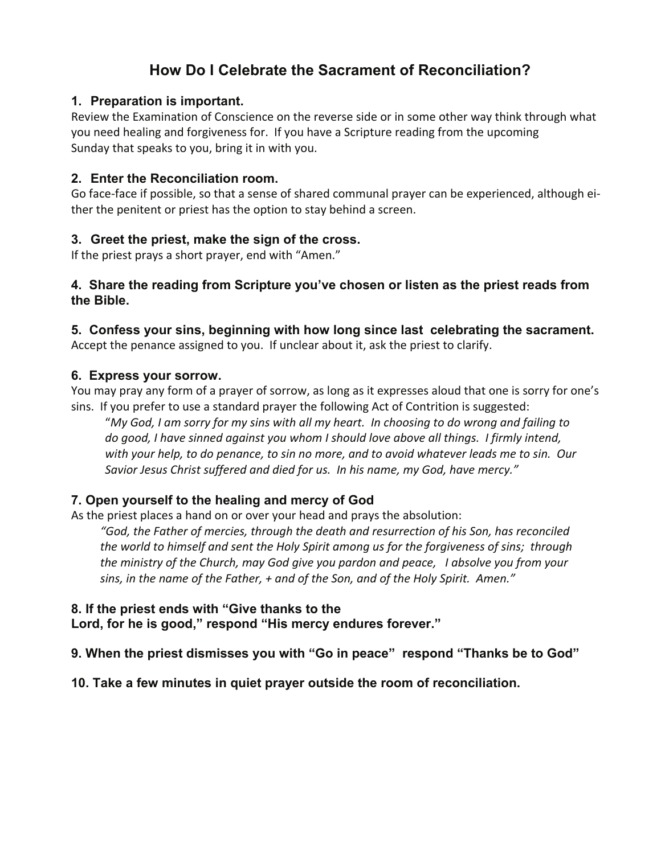# **How Do I Celebrate the Sacrament of Reconciliation?**

#### **1. Preparation is important.**

Review the Examination of Conscience on the reverse side or in some other way think through what you need healing and forgiveness for. If you have a Scripture reading from the upcoming Sunday that speaks to you, bring it in with you.

#### **2. Enter the Reconciliation room.**

Go face-face if possible, so that a sense of shared communal prayer can be experienced, although either the penitent or priest has the option to stay behind a screen.

### **3. Greet the priest, make the sign of the cross.**

If the priest prays a short prayer, end with "Amen."

#### **4. Share the reading from Scripture you've chosen or listen as the priest reads from the Bible.**

## **5. Confess your sins, beginning with how long since last celebrating the sacrament.**

Accept the penance assigned to you. If unclear about it, ask the priest to clarify.

#### **6. Express your sorrow.**

You may pray any form of a prayer of sorrow, as long as it expresses aloud that one is sorry for one's sins. If you prefer to use a standard prayer the following Act of Contrition is suggested:

"My God, I am sorry for my sins with all my heart. In choosing to do wrong and failing to *do good, I have sinned against you whom I should love above all things. I firmly intend,* with your help, to do penance, to sin no more, and to avoid whatever leads me to sin. Our *Savior Jesus Christ suffered and died for us. In his name, my God, have mercy."*

### **7. Open yourself to the healing and mercy of God**

As the priest places a hand on or over your head and prays the absolution:

*"God, the Father of mercies, through the death and resurrection of his Son, has reconciled the world to himself and sent the Holy Spirit among us for the forgiveness of sins; through the ministry of the Church, may God give you pardon and peace, I absolve you from your sins, in the name of the Father, + and of the Son, and of the Holy Spirit. Amen."*

### **8. If the priest ends with "Give thanks to the**

**Lord, for he is good," respond "His mercy endures forever."** 

**9. When the priest dismisses you with "Go in peace" respond "Thanks be to God"** 

### **10. Take a few minutes in quiet prayer outside the room of reconciliation.**